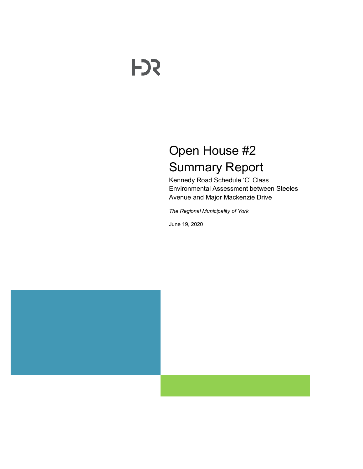# **FDS**

# Open House #2 Summary Report

Kennedy Road Schedule 'C' Class Environmental Assessment between Steeles Avenue and Major Mackenzie Drive

*The Regional Municipality of York*

June 19, 2020

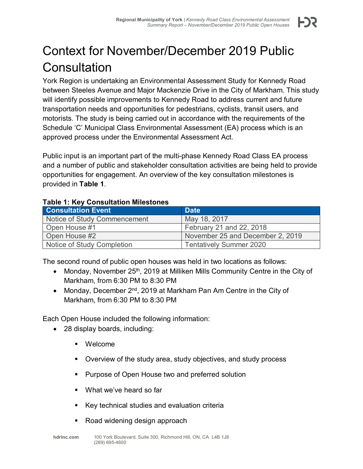## Context for November/December 2019 Public **Consultation**

York Region is undertaking an Environmental Assessment Study for Kennedy Road between Steeles Avenue and Major Mackenzie Drive in the City of Markham. This study will identify possible improvements to Kennedy Road to address current and future transportation needs and opportunities for pedestrians, cyclists, transit users, and motorists. The study is being carried out in accordance with the requirements of the Schedule 'C' Municipal Class Environmental Assessment (EA) process which is an approved process under the Environmental Assessment Act.

Public input is an important part of the multi-phase Kennedy Road Class EA process and a number of public and stakeholder consultation activities are being held to provide opportunities for engagement. An overview of the key consultation milestones is provided in **[Table 1](#page-1-0)**.

#### <span id="page-1-0"></span>**Table 1: Key Consultation Milestones**

| <b>Consultation Event</b>    | <b>Date</b>                      |  |
|------------------------------|----------------------------------|--|
| Notice of Study Commencement | May 18, 2017                     |  |
| Open House #1                | February 21 and 22, 2018         |  |
| Open House #2                | November 25 and December 2, 2019 |  |
| Notice of Study Completion   | <b>Tentatively Summer 2020</b>   |  |

The second round of public open houses was held in two locations as follows:

- Monday, November  $25<sup>th</sup>$ , 2019 at Milliken Mills Community Centre in the City of Markham, from 6:30 PM to 8:30 PM
- Monday, December 2<sup>nd</sup>, 2019 at Markham Pan Am Centre in the City of Markham, from 6:30 PM to 8:30 PM

Each Open House included the following information:

- 28 display boards, including:
	- Welcome
	- Overview of the study area, study objectives, and study process
	- **Purpose of Open House two and preferred solution**
	- What we've heard so far
	- Key technical studies and evaluation criteria
	- Road widening design approach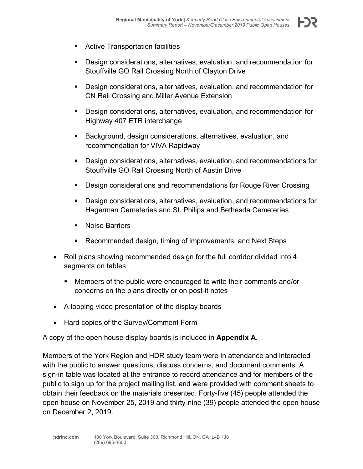- **EXECUTE:** Active Transportation facilities
- Design considerations, alternatives, evaluation, and recommendation for Stouffville GO Rail Crossing North of Clayton Drive
- Design considerations, alternatives, evaluation, and recommendation for CN Rail Crossing and Miller Avenue Extension
- Design considerations, alternatives, evaluation, and recommendation for Highway 407 ETR interchange
- Background, design considerations, alternatives, evaluation, and recommendation for VIVA Rapidway
- Design considerations, alternatives, evaluation, and recommendations for Stouffville GO Rail Crossing North of Austin Drive
- **Design considerations and recommendations for Rouge River Crossing**
- Design considerations, alternatives, evaluation, and recommendations for Hagerman Cemeteries and St. Philips and Bethesda Cemeteries
- Noise Barriers
- Recommended design, timing of improvements, and Next Steps
- Roll plans showing recommended design for the full corridor divided into 4 segments on tables
	- Members of the public were encouraged to write their comments and/or concerns on the plans directly or on post-it notes
- A looping video presentation of the display boards
- Hard copies of the Survey/Comment Form

A copy of the open house display boards is included in **Appendix A**.

Members of the York Region and HDR study team were in attendance and interacted with the public to answer questions, discuss concerns, and document comments. A sign-in table was located at the entrance to record attendance and for members of the public to sign up for the project mailing list, and were provided with comment sheets to obtain their feedback on the materials presented. Forty-five (45) people attended the open house on November 25, 2019 and thirty-nine (39) people attended the open house on December 2, 2019.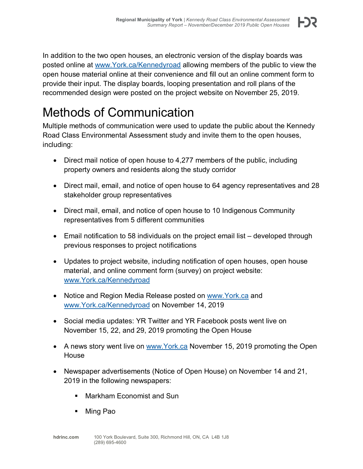In addition to the two open houses, an electronic version of the display boards was posted online at [www.York.ca/Kennedyroad](http://www.york.ca/Kennedyroad) allowing members of the public to view the open house material online at their convenience and fill out an online comment form to provide their input. The display boards, looping presentation and roll plans of the recommended design were posted on the project website on November 25, 2019.

### Methods of Communication

Multiple methods of communication were used to update the public about the Kennedy Road Class Environmental Assessment study and invite them to the open houses, including:

- Direct mail notice of open house to 4,277 members of the public, including property owners and residents along the study corridor
- Direct mail, email, and notice of open house to 64 agency representatives and 28 stakeholder group representatives
- Direct mail, email, and notice of open house to 10 Indigenous Community representatives from 5 different communities
- Email notification to 58 individuals on the project email list developed through previous responses to project notifications
- Updates to project website, including notification of open houses, open house material, and online comment form (survey) on project website: [www.York.ca/Kennedyroad](http://www.york.ca/Kennedyroad)
- Notice and Region Media Release posted on www.York.ca and [www.York.ca/Kennedyroad](http://www.york.ca/Kennedyroad) on November 14, 2019
- Social media updates: YR Twitter and YR Facebook posts went live on November 15, 22, and 29, 2019 promoting the Open House
- A news story went live on [www.York.ca](http://www.york.ca/) November 15, 2019 promoting the Open House
- Newspaper advertisements (Notice of Open House) on November 14 and 21, 2019 in the following newspapers:
	- Markham Economist and Sun
	- Ming Pao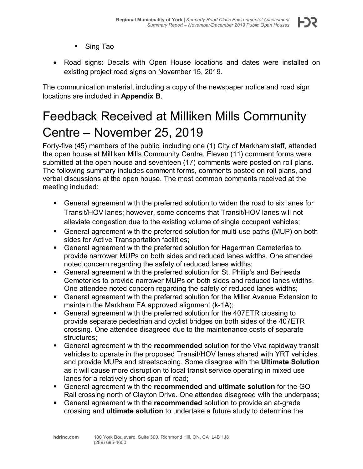- Sing Tao
- Road signs: Decals with Open House locations and dates were installed on existing project road signs on November 15, 2019.

The communication material, including a copy of the newspaper notice and road sign locations are included in **Appendix B**.

## Feedback Received at Milliken Mills Community Centre – November 25, 2019

Forty-five (45) members of the public, including one (1) City of Markham staff, attended the open house at Milliken Mills Community Centre. Eleven (11) comment forms were submitted at the open house and seventeen (17) comments were posted on roll plans. The following summary includes comment forms, comments posted on roll plans, and verbal discussions at the open house. The most common comments received at the meeting included:

- General agreement with the preferred solution to widen the road to six lanes for Transit/HOV lanes; however, some concerns that Transit/HOV lanes will not alleviate congestion due to the existing volume of single occupant vehicles;
- General agreement with the preferred solution for multi-use paths (MUP) on both sides for Active Transportation facilities;
- General agreement with the preferred solution for Hagerman Cemeteries to provide narrower MUPs on both sides and reduced lanes widths. One attendee noted concern regarding the safety of reduced lanes widths;
- General agreement with the preferred solution for St. Philip's and Bethesda Cemeteries to provide narrower MUPs on both sides and reduced lanes widths. One attendee noted concern regarding the safety of reduced lanes widths;
- General agreement with the preferred solution for the Miller Avenue Extension to maintain the Markham EA approved alignment (k-1A);
- General agreement with the preferred solution for the 407ETR crossing to provide separate pedestrian and cyclist bridges on both sides of the 407ETR crossing. One attendee disagreed due to the maintenance costs of separate structures;
- General agreement with the **recommended** solution for the Viva rapidway transit vehicles to operate in the proposed Transit/HOV lanes shared with YRT vehicles, and provide MUPs and streetscaping. Some disagree with the **Ultimate Solution** as it will cause more disruption to local transit service operating in mixed use lanes for a relatively short span of road;
- General agreement with the **recommended** and **ultimate solution** for the GO Rail crossing north of Clayton Drive. One attendee disagreed with the underpass;
- General agreement with the **recommended** solution to provide an at-grade crossing and **ultimate solution** to undertake a future study to determine the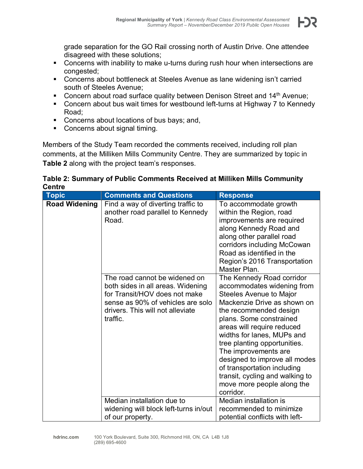

grade separation for the GO Rail crossing north of Austin Drive. One attendee disagreed with these solutions;

- **Concerns with inability to make u-turns during rush hour when intersections are** congested;
- Concerns about bottleneck at Steeles Avenue as lane widening isn't carried south of Steeles Avenue;
- Concern about road surface quality between Denison Street and  $14<sup>th</sup>$  Avenue;
- Concern about bus wait times for westbound left-turns at Highway 7 to Kennedy Road;
- **Concerns about locations of bus bays; and,**
- Concerns about signal timing.

Members of the Study Team recorded the comments received, including roll plan comments, at the Milliken Mills Community Centre. They are summarized by topic in **[Table 2](#page-5-0)** along with the project team's responses.

<span id="page-5-0"></span>

| Table 2: Summary of Public Comments Received at Milliken Mills Community |  |
|--------------------------------------------------------------------------|--|
| <b>Centre</b>                                                            |  |

| <b>Topic</b>         | <b>Comments and Questions</b>                                                                                                                                                            | <b>Response</b>                                                                                                                                                                                                                                                                                                                                                                                                                          |
|----------------------|------------------------------------------------------------------------------------------------------------------------------------------------------------------------------------------|------------------------------------------------------------------------------------------------------------------------------------------------------------------------------------------------------------------------------------------------------------------------------------------------------------------------------------------------------------------------------------------------------------------------------------------|
| <b>Road Widening</b> | Find a way of diverting traffic to<br>another road parallel to Kennedy<br>Road.                                                                                                          | To accommodate growth<br>within the Region, road<br>improvements are required<br>along Kennedy Road and<br>along other parallel road<br>corridors including McCowan<br>Road as identified in the<br>Region's 2016 Transportation<br>Master Plan.                                                                                                                                                                                         |
|                      | The road cannot be widened on<br>both sides in all areas. Widening<br>for Transit/HOV does not make<br>sense as 90% of vehicles are solo<br>drivers. This will not alleviate<br>traffic. | The Kennedy Road corridor<br>accommodates widening from<br>Steeles Avenue to Major<br>Mackenzie Drive as shown on<br>the recommended design<br>plans. Some constrained<br>areas will require reduced<br>widths for lanes, MUPs and<br>tree planting opportunities.<br>The improvements are<br>designed to improve all modes<br>of transportation including<br>transit, cycling and walking to<br>move more people along the<br>corridor. |
|                      | Median installation due to                                                                                                                                                               | Median installation is                                                                                                                                                                                                                                                                                                                                                                                                                   |
|                      | widening will block left-turns in/out<br>of our property.                                                                                                                                | recommended to minimize<br>potential conflicts with left-                                                                                                                                                                                                                                                                                                                                                                                |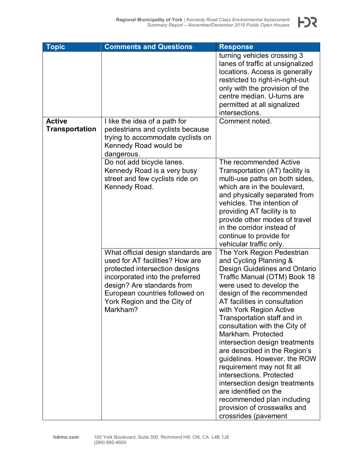| <b>Topic</b>          | <b>Comments and Questions</b>                                                                                                                                                                                                                         | <b>Response</b>                                                                                                                                                                                                                                                                                                                                                                                                                                                                                                                                                                                                                                       |
|-----------------------|-------------------------------------------------------------------------------------------------------------------------------------------------------------------------------------------------------------------------------------------------------|-------------------------------------------------------------------------------------------------------------------------------------------------------------------------------------------------------------------------------------------------------------------------------------------------------------------------------------------------------------------------------------------------------------------------------------------------------------------------------------------------------------------------------------------------------------------------------------------------------------------------------------------------------|
|                       |                                                                                                                                                                                                                                                       | turning vehicles crossing 3<br>lanes of traffic at unsignalized<br>locations. Access is generally<br>restricted to right-in-right-out<br>only with the provision of the<br>centre median. U-turns are<br>permitted at all signalized<br>intersections.                                                                                                                                                                                                                                                                                                                                                                                                |
| <b>Active</b>         | I like the idea of a path for                                                                                                                                                                                                                         | Comment noted.                                                                                                                                                                                                                                                                                                                                                                                                                                                                                                                                                                                                                                        |
| <b>Transportation</b> | pedestrians and cyclists because<br>trying to accommodate cyclists on<br>Kennedy Road would be<br>dangerous.                                                                                                                                          |                                                                                                                                                                                                                                                                                                                                                                                                                                                                                                                                                                                                                                                       |
|                       | Do not add bicycle lanes.<br>Kennedy Road is a very busy<br>street and few cyclists ride on<br>Kennedy Road.                                                                                                                                          | The recommended Active<br>Transportation (AT) facility is<br>multi-use paths on both sides,<br>which are in the boulevard,<br>and physically separated from<br>vehicles. The intention of<br>providing AT facility is to<br>provide other modes of travel<br>in the corridor instead of<br>continue to provide for<br>vehicular traffic only.                                                                                                                                                                                                                                                                                                         |
|                       | What official design standards are<br>used for AT facilities? How are<br>protected intersection designs<br>incorporated into the preferred<br>design? Are standards from<br>European countries followed on<br>York Region and the City of<br>Markham? | The York Region Pedestrian<br>and Cycling Planning &<br><b>Design Guidelines and Ontario</b><br>Traffic Manual (OTM) Book 18<br>were used to develop the<br>design of the recommended<br>AT facilities in consultation<br>with York Region Active<br>Transportation staff and in<br>consultation with the City of<br>Markham. Protected<br>intersection design treatments<br>are described in the Region's<br>guidelines. However, the ROW<br>requirement may not fit all<br>intersections. Protected<br>intersection design treatments<br>are identified on the<br>recommended plan including<br>provision of crosswalks and<br>crossrides (pavement |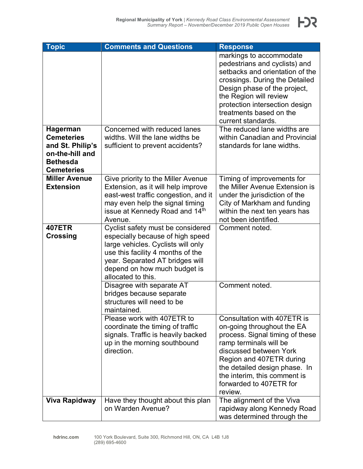| <b>Topic</b>                                                                | <b>Comments and Questions</b>                                                                                                                                                                        | <b>Response</b>                                                                                                                                                                                                                                                                                           |
|-----------------------------------------------------------------------------|------------------------------------------------------------------------------------------------------------------------------------------------------------------------------------------------------|-----------------------------------------------------------------------------------------------------------------------------------------------------------------------------------------------------------------------------------------------------------------------------------------------------------|
| <b>Hagerman</b>                                                             | Concerned with reduced lanes                                                                                                                                                                         | markings to accommodate<br>pedestrians and cyclists) and<br>setbacks and orientation of the<br>crossings. During the Detailed<br>Design phase of the project,<br>the Region will review<br>protection intersection design<br>treatments based on the<br>current standards.<br>The reduced lane widths are |
| <b>Cemeteries</b>                                                           | widths. Will the lane widths be                                                                                                                                                                      | within Canadian and Provincial                                                                                                                                                                                                                                                                            |
| and St. Philip's<br>on-the-hill and<br><b>Bethesda</b><br><b>Cemeteries</b> | sufficient to prevent accidents?                                                                                                                                                                     | standards for lane widths.                                                                                                                                                                                                                                                                                |
| <b>Miller Avenue</b>                                                        | Give priority to the Miller Avenue                                                                                                                                                                   | Timing of improvements for                                                                                                                                                                                                                                                                                |
| <b>Extension</b>                                                            | Extension, as it will help improve                                                                                                                                                                   | the Miller Avenue Extension is                                                                                                                                                                                                                                                                            |
|                                                                             | east-west traffic congestion, and it                                                                                                                                                                 | under the jurisdiction of the                                                                                                                                                                                                                                                                             |
|                                                                             | may even help the signal timing                                                                                                                                                                      | City of Markham and funding                                                                                                                                                                                                                                                                               |
|                                                                             | issue at Kennedy Road and 14th<br>Avenue.                                                                                                                                                            | within the next ten years has<br>not been identified.                                                                                                                                                                                                                                                     |
| <b>407ETR</b>                                                               | Cyclist safety must be considered                                                                                                                                                                    | Comment noted.                                                                                                                                                                                                                                                                                            |
| <b>Crossing</b>                                                             | especially because of high speed<br>large vehicles. Cyclists will only<br>use this facility 4 months of the<br>year. Separated AT bridges will<br>depend on how much budget is<br>allocated to this. |                                                                                                                                                                                                                                                                                                           |
|                                                                             | Disagree with separate AT<br>bridges because separate<br>structures will need to be<br>maintained.                                                                                                   | Comment noted.                                                                                                                                                                                                                                                                                            |
|                                                                             | Please work with 407ETR to<br>coordinate the timing of traffic<br>signals. Traffic is heavily backed<br>up in the morning southbound<br>direction.                                                   | Consultation with 407ETR is<br>on-going throughout the EA<br>process. Signal timing of these<br>ramp terminals will be<br>discussed between York<br>Region and 407ETR during<br>the detailed design phase. In<br>the interim, this comment is<br>forwarded to 407ETR for<br>review.                       |
| <b>Viva Rapidway</b>                                                        | Have they thought about this plan<br>on Warden Avenue?                                                                                                                                               | The alignment of the Viva<br>rapidway along Kennedy Road<br>was determined through the                                                                                                                                                                                                                    |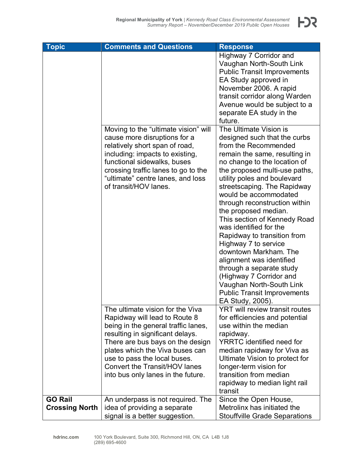| <b>Topic</b>                            | <b>Comments and Questions</b>                                                                                                                                                                                                                                                        | <b>Response</b>                                                                                                                                                                                                                                                                                                                                                                                                                                                                                                                                                                                                                                     |
|-----------------------------------------|--------------------------------------------------------------------------------------------------------------------------------------------------------------------------------------------------------------------------------------------------------------------------------------|-----------------------------------------------------------------------------------------------------------------------------------------------------------------------------------------------------------------------------------------------------------------------------------------------------------------------------------------------------------------------------------------------------------------------------------------------------------------------------------------------------------------------------------------------------------------------------------------------------------------------------------------------------|
|                                         |                                                                                                                                                                                                                                                                                      | Highway 7 Corridor and<br>Vaughan North-South Link<br><b>Public Transit Improvements</b><br>EA Study approved in<br>November 2006. A rapid<br>transit corridor along Warden<br>Avenue would be subject to a<br>separate EA study in the<br>future.                                                                                                                                                                                                                                                                                                                                                                                                  |
|                                         | Moving to the "ultimate vision" will<br>cause more disruptions for a<br>relatively short span of road,<br>including: impacts to existing,<br>functional sidewalks, buses<br>crossing traffic lanes to go to the<br>"ultimate" centre lanes, and loss<br>of transit/HOV lanes.        | The Ultimate Vision is<br>designed such that the curbs<br>from the Recommended<br>remain the same, resulting in<br>no change to the location of<br>the proposed multi-use paths,<br>utility poles and boulevard<br>streetscaping. The Rapidway<br>would be accommodated<br>through reconstruction within<br>the proposed median.<br>This section of Kennedy Road<br>was identified for the<br>Rapidway to transition from<br>Highway 7 to service<br>downtown Markham. The<br>alignment was identified<br>through a separate study<br>(Highway 7 Corridor and<br>Vaughan North-South Link<br><b>Public Transit Improvements</b><br>EA Study, 2005). |
|                                         | The ultimate vision for the Viva<br>Rapidway will lead to Route 8<br>being in the general traffic lanes,<br>resulting in significant delays.<br>There are bus bays on the design<br>plates which the Viva buses can<br>use to pass the local buses.<br>Convert the Transit/HOV lanes | <b>YRT will review transit routes</b><br>for efficiencies and potential<br>use within the median<br>rapidway.<br><b>YRRTC</b> identified need for<br>median rapidway for Viva as<br>Ultimate Vision to protect for<br>longer-term vision for                                                                                                                                                                                                                                                                                                                                                                                                        |
|                                         | into bus only lanes in the future.                                                                                                                                                                                                                                                   | transition from median<br>rapidway to median light rail<br>transit                                                                                                                                                                                                                                                                                                                                                                                                                                                                                                                                                                                  |
| <b>GO Rail</b><br><b>Crossing North</b> | An underpass is not required. The<br>idea of providing a separate<br>signal is a better suggestion.                                                                                                                                                                                  | Since the Open House,<br>Metrolinx has initiated the<br><b>Stouffville Grade Separations</b>                                                                                                                                                                                                                                                                                                                                                                                                                                                                                                                                                        |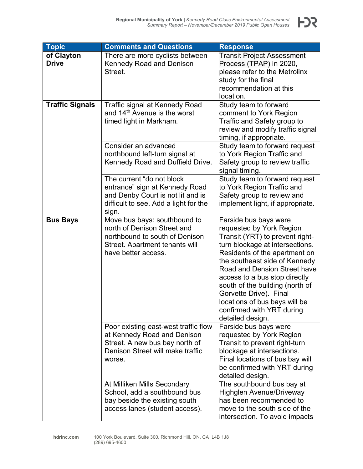| <b>Topic</b>           | <b>Comments and Questions</b>                               | <b>Response</b>                                   |
|------------------------|-------------------------------------------------------------|---------------------------------------------------|
| of Clayton             | There are more cyclists between                             | <b>Transit Project Assessment</b>                 |
| <b>Drive</b>           | <b>Kennedy Road and Denison</b>                             | Process (TPAP) in 2020,                           |
|                        | Street.                                                     | please refer to the Metrolinx                     |
|                        |                                                             | study for the final                               |
|                        |                                                             | recommendation at this                            |
|                        |                                                             | location.                                         |
| <b>Traffic Signals</b> | Traffic signal at Kennedy Road                              | Study team to forward                             |
|                        | and 14 <sup>th</sup> Avenue is the worst                    | comment to York Region                            |
|                        | timed light in Markham.                                     | Traffic and Safety group to                       |
|                        |                                                             | review and modify traffic signal                  |
|                        |                                                             | timing, if appropriate.                           |
|                        | Consider an advanced                                        | Study team to forward request                     |
|                        | northbound left-turn signal at                              | to York Region Traffic and                        |
|                        | Kennedy Road and Duffield Drive.                            | Safety group to review traffic                    |
|                        |                                                             | signal timing.                                    |
|                        | The current "do not block                                   | Study team to forward request                     |
|                        | entrance" sign at Kennedy Road                              | to York Region Traffic and                        |
|                        | and Denby Court is not lit and is                           | Safety group to review and                        |
|                        | difficult to see. Add a light for the                       | implement light, if appropriate.                  |
|                        | sign.                                                       |                                                   |
| <b>Bus Bays</b>        | Move bus bays: southbound to<br>north of Denison Street and | Farside bus bays were<br>requested by York Region |
|                        | northbound to south of Denison                              | Transit (YRT) to prevent right-                   |
|                        | Street. Apartment tenants will                              | turn blockage at intersections.                   |
|                        | have better access.                                         | Residents of the apartment on                     |
|                        |                                                             | the southeast side of Kennedy                     |
|                        |                                                             | Road and Dension Street have                      |
|                        |                                                             | access to a bus stop directly                     |
|                        |                                                             | south of the building (north of                   |
|                        |                                                             | Gorvette Drive). Final                            |
|                        |                                                             | locations of bus bays will be                     |
|                        |                                                             | confirmed with YRT during                         |
|                        |                                                             | detailed design.                                  |
|                        | Poor existing east-west traffic flow                        | Farside bus bays were                             |
|                        | at Kennedy Road and Denison                                 | requested by York Region                          |
|                        | Street. A new bus bay north of                              | Transit to prevent right-turn                     |
|                        | Denison Street will make traffic                            | blockage at intersections.                        |
|                        | worse.                                                      | Final locations of bus bay will                   |
|                        |                                                             | be confirmed with YRT during                      |
|                        |                                                             | detailed design.                                  |
|                        | At Milliken Mills Secondary                                 | The southbound bus bay at                         |
|                        | School, add a southbound bus                                | <b>Highglen Avenue/Driveway</b>                   |
|                        | bay beside the existing south                               | has been recommended to                           |
|                        | access lanes (student access).                              | move to the south side of the                     |
|                        |                                                             | intersection. To avoid impacts                    |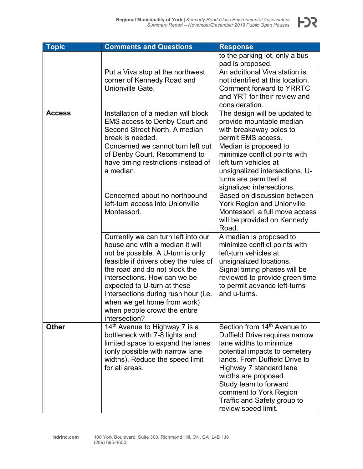

| <b>Topic</b>  | <b>Comments and Questions</b>             | <b>Response</b>                         |
|---------------|-------------------------------------------|-----------------------------------------|
|               |                                           | to the parking lot, only a bus          |
|               |                                           | pad is proposed.                        |
|               | Put a Viva stop at the northwest          | An additional Viva station is           |
|               | corner of Kennedy Road and                | not identified at this location.        |
|               | Unionville Gate.                          | <b>Comment forward to YRRTC</b>         |
|               |                                           | and YRT for their review and            |
|               |                                           | consideration.                          |
| <b>Access</b> | Installation of a median will block       | The design will be updated to           |
|               | <b>EMS access to Denby Court and</b>      | provide mountable median                |
|               | Second Street North, A median             | with breakaway poles to                 |
|               | break is needed.                          | permit EMS access.                      |
|               | Concerned we cannot turn left out         | Median is proposed to                   |
|               | of Denby Court. Recommend to              | minimize conflict points with           |
|               | have timing restrictions instead of       | left turn vehicles at                   |
|               | a median.                                 | unsignalized intersections. U-          |
|               |                                           | turns are permitted at                  |
|               |                                           | signalized intersections.               |
|               | Concerned about no northbound             | Based on discussion between             |
|               | left-turn access into Unionville          | <b>York Region and Unionville</b>       |
|               | Montessori.                               | Montessori, a full move access          |
|               |                                           | will be provided on Kennedy             |
|               |                                           | Road.                                   |
|               | Currently we can turn left into our       | A median is proposed to                 |
|               | house and with a median it will           | minimize conflict points with           |
|               | not be possible. A U-turn is only         | left-turn vehicles at                   |
|               | feasible if drivers obey the rules of     | unsignalized locations.                 |
|               | the road and do not block the             | Signal timing phases will be            |
|               | intersections. How can we be              | reviewed to provide green time          |
|               | expected to U-turn at these               | to permit advance left-turns            |
|               | intersections during rush hour (i.e.      | and u-turns.                            |
|               | when we get home from work)               |                                         |
|               | when people crowd the entire              |                                         |
|               | intersection?                             |                                         |
| <b>Other</b>  | 14 <sup>th</sup> Avenue to Highway 7 is a | Section from 14 <sup>th</sup> Avenue to |
|               | bottleneck with 7-8 lights and            | Duffield Drive requires narrow          |
|               | limited space to expand the lanes         | lane widths to minimize                 |
|               | (only possible with narrow lane           | potential impacts to cemetery           |
|               | widths). Reduce the speed limit           | lands. From Duffield Drive to           |
|               | for all areas.                            | Highway 7 standard lane                 |
|               |                                           | widths are proposed.                    |
|               |                                           | Study team to forward                   |
|               |                                           | comment to York Region                  |
|               |                                           | Traffic and Safety group to             |
|               |                                           | review speed limit.                     |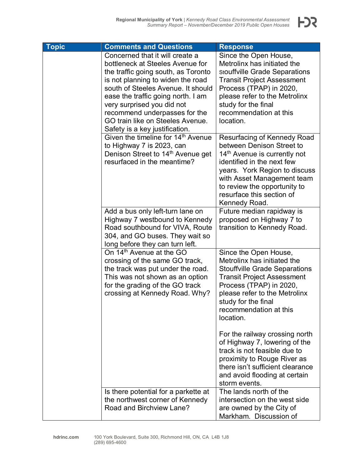

| <b>Topic</b> | <b>Comments and Questions</b>                                                                                                                                                                                                                                                                                                                                    | <b>Response</b>                                                                                                                                                                                                                                                                 |
|--------------|------------------------------------------------------------------------------------------------------------------------------------------------------------------------------------------------------------------------------------------------------------------------------------------------------------------------------------------------------------------|---------------------------------------------------------------------------------------------------------------------------------------------------------------------------------------------------------------------------------------------------------------------------------|
|              | Concerned that it will create a<br>bottleneck at Steeles Avenue for<br>the traffic going south, as Toronto<br>is not planning to widen the road<br>south of Steeles Avenue. It should<br>ease the traffic going north. I am<br>very surprised you did not<br>recommend underpasses for the<br>GO train like on Steeles Avenue.<br>Safety is a key justification. | Since the Open House,<br>Metrolinx has initiated the<br>stouffville Grade Separations<br><b>Transit Project Assessment</b><br>Process (TPAP) in 2020,<br>please refer to the Metrolinx<br>study for the final<br>recommendation at this<br>location.                            |
|              | Given the timeline for 14th Avenue<br>to Highway 7 is 2023, can<br>Denison Street to 14 <sup>th</sup> Avenue get<br>resurfaced in the meantime?                                                                                                                                                                                                                  | Resurfacing of Kennedy Road<br>between Denison Street to<br>14 <sup>th</sup> Avenue is currently not<br>identified in the next few<br>years. York Region to discuss<br>with Asset Management team<br>to review the opportunity to<br>resurface this section of<br>Kennedy Road. |
|              | Add a bus only left-turn lane on<br>Highway 7 westbound to Kennedy<br>Road southbound for VIVA, Route<br>304, and GO buses. They wait so<br>long before they can turn left.                                                                                                                                                                                      | Future median rapidway is<br>proposed on Highway 7 to<br>transition to Kennedy Road.                                                                                                                                                                                            |
|              | On 14 <sup>th</sup> Avenue at the GO<br>crossing of the same GO track,<br>the track was put under the road.<br>This was not shown as an option<br>for the grading of the GO track<br>crossing at Kennedy Road. Why?                                                                                                                                              | Since the Open House,<br>Metrolinx has initiated the<br><b>Stouffville Grade Separations</b><br><b>Transit Project Assessment</b><br>Process (TPAP) in 2020,<br>please refer to the Metrolinx<br>study for the final<br>recommendation at this<br>location.                     |
|              |                                                                                                                                                                                                                                                                                                                                                                  | For the railway crossing north<br>of Highway 7, lowering of the<br>track is not feasible due to<br>proximity to Rouge River as<br>there isn't sufficient clearance<br>and avoid flooding at certain<br>storm events.                                                            |
|              | Is there potential for a parkette at<br>the northwest corner of Kennedy<br>Road and Birchview Lane?                                                                                                                                                                                                                                                              | The lands north of the<br>intersection on the west side<br>are owned by the City of<br>Markham. Discussion of                                                                                                                                                                   |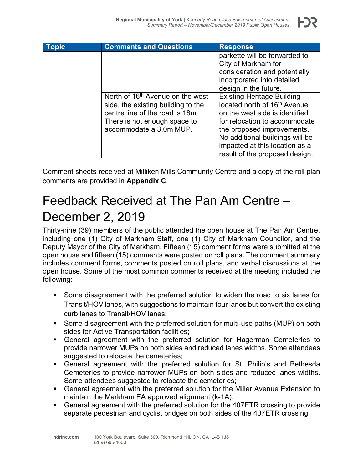| <b>Topic</b> | <b>Comments and Questions</b>                                                                                                                                                    | <b>Response</b>                                                                                                                                                                                                                                                                       |
|--------------|----------------------------------------------------------------------------------------------------------------------------------------------------------------------------------|---------------------------------------------------------------------------------------------------------------------------------------------------------------------------------------------------------------------------------------------------------------------------------------|
|              |                                                                                                                                                                                  | parkette will be forwarded to<br>City of Markham for<br>consideration and potentially<br>incorporated into detailed<br>design in the future.                                                                                                                                          |
|              | North of 16 <sup>th</sup> Avenue on the west<br>side, the existing building to the<br>centre line of the road is 18m.<br>There is not enough space to<br>accommodate a 3.0m MUP. | <b>Existing Heritage Building</b><br>located north of 16 <sup>th</sup> Avenue<br>on the west side is identified<br>for relocation to accommodate<br>the proposed improvements.<br>No additional buildings will be<br>impacted at this location as a<br>result of the proposed design. |

Comment sheets received at Milliken Mills Community Centre and a copy of the roll plan comments are provided in **Appendix C**.

### Feedback Received at The Pan Am Centre – December 2, 2019

Thirty-nine (39) members of the public attended the open house at The Pan Am Centre, including one (1) City of Markham Staff, one (1) City of Markham Councilor, and the Deputy Mayor of the City of Markham. Fifteen (15) comment forms were submitted at the open house and fifteen (15) comments were posted on roll plans. The comment summary includes comment forms, comments posted on roll plans, and verbal discussions at the open house. Some of the most common comments received at the meeting included the following:

- Some disagreement with the preferred solution to widen the road to six lanes for Transit/HOV lanes, with suggestions to maintain four lanes but convert the existing curb lanes to Transit/HOV lanes;
- Some disagreement with the preferred solution for multi-use paths (MUP) on both sides for Active Transportation facilities;
- General agreement with the preferred solution for Hagerman Cemeteries to provide narrower MUPs on both sides and reduced lanes widths. Some attendees suggested to relocate the cemeteries;
- General agreement with the preferred solution for St. Philip's and Bethesda Cemeteries to provide narrower MUPs on both sides and reduced lanes widths. Some attendees suggested to relocate the cemeteries;
- General agreement with the preferred solution for the Miller Avenue Extension to maintain the Markham EA approved alignment (k-1A);
- General agreement with the preferred solution for the 407ETR crossing to provide separate pedestrian and cyclist bridges on both sides of the 407ETR crossing;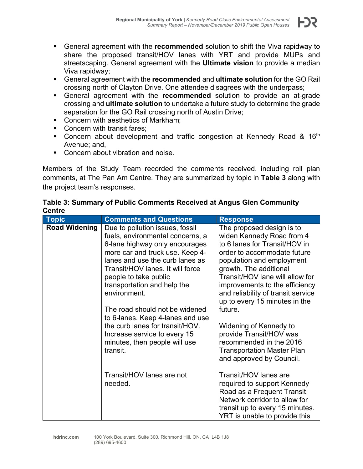

- General agreement with the **recommended** and **ultimate solution** for the GO Rail crossing north of Clayton Drive. One attendee disagrees with the underpass;
- General agreement with the **recommended** solution to provide an at-grade crossing and **ultimate solution** to undertake a future study to determine the grade separation for the GO Rail crossing north of Austin Drive;
- Concern with aesthetics of Markham:
- Concern with transit fares:
- Concern about development and traffic congestion at Kennedy Road  $& 16<sup>th</sup>$ Avenue; and,
- **Concern about vibration and noise.**

Members of the Study Team recorded the comments received, including roll plan comments, at The Pan Am Centre. They are summarized by topic in **[Table 3](#page-13-0)** along with the project team's responses.

#### <span id="page-13-0"></span>**Table 3: Summary of Public Comments Received at Angus Glen Community Centre**

| <b>Topic</b>         | <b>Comments and Questions</b>                                                                                                                                                                                                                                                                                                                                                                                                                                                 | <b>Response</b>                                                                                                                                                                                                                                                                                                                                                                                                                                                                       |
|----------------------|-------------------------------------------------------------------------------------------------------------------------------------------------------------------------------------------------------------------------------------------------------------------------------------------------------------------------------------------------------------------------------------------------------------------------------------------------------------------------------|---------------------------------------------------------------------------------------------------------------------------------------------------------------------------------------------------------------------------------------------------------------------------------------------------------------------------------------------------------------------------------------------------------------------------------------------------------------------------------------|
| <b>Road Widening</b> | Due to pollution issues, fossil<br>fuels, environmental concerns, a<br>6-lane highway only encourages<br>more car and truck use. Keep 4-<br>lanes and use the curb lanes as<br>Transit/HOV lanes. It will force<br>people to take public<br>transportation and help the<br>environment.<br>The road should not be widened<br>to 6-lanes. Keep 4-lanes and use<br>the curb lanes for transit/HOV.<br>Increase service to every 15<br>minutes, then people will use<br>transit. | The proposed design is to<br>widen Kennedy Road from 4<br>to 6 lanes for Transit/HOV in<br>order to accommodate future<br>population and employment<br>growth. The additional<br>Transit/HOV lane will allow for<br>improvements to the efficiency<br>and reliability of transit service<br>up to every 15 minutes in the<br>future.<br>Widening of Kennedy to<br>provide Transit/HOV was<br>recommended in the 2016<br><b>Transportation Master Plan</b><br>and approved by Council. |
|                      | Transit/HOV lanes are not<br>needed.                                                                                                                                                                                                                                                                                                                                                                                                                                          | Transit/HOV lanes are<br>required to support Kennedy<br>Road as a Frequent Transit<br>Network corridor to allow for<br>transit up to every 15 minutes.<br>YRT is unable to provide this                                                                                                                                                                                                                                                                                               |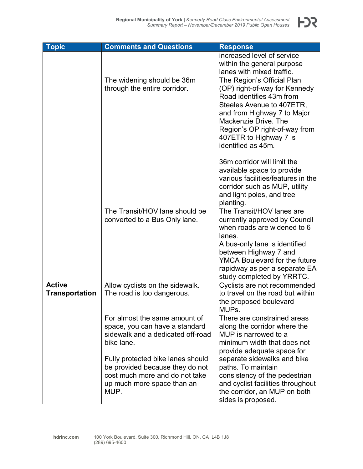| <b>Topic</b>          | <b>Comments and Questions</b>                                     | <b>Response</b>                                                    |
|-----------------------|-------------------------------------------------------------------|--------------------------------------------------------------------|
|                       |                                                                   | increased level of service                                         |
|                       |                                                                   | within the general purpose                                         |
|                       |                                                                   | lanes with mixed traffic.                                          |
|                       | The widening should be 36m                                        | The Region's Official Plan                                         |
|                       | through the entire corridor.                                      | (OP) right-of-way for Kennedy                                      |
|                       |                                                                   | Road identifies 43m from                                           |
|                       |                                                                   | Steeles Avenue to 407ETR,                                          |
|                       |                                                                   | and from Highway 7 to Major                                        |
|                       |                                                                   | Mackenzie Drive. The                                               |
|                       |                                                                   | Region's OP right-of-way from                                      |
|                       |                                                                   | 407ETR to Highway 7 is                                             |
|                       |                                                                   | identified as 45m.                                                 |
|                       |                                                                   | 36m corridor will limit the                                        |
|                       |                                                                   | available space to provide                                         |
|                       |                                                                   | various facilities/features in the                                 |
|                       |                                                                   | corridor such as MUP, utility                                      |
|                       |                                                                   | and light poles, and tree                                          |
|                       |                                                                   | planting.                                                          |
|                       | The Transit/HOV lane should be                                    | The Transit/HOV lanes are                                          |
|                       | converted to a Bus Only lane.                                     | currently approved by Council                                      |
|                       |                                                                   | when roads are widened to 6                                        |
|                       |                                                                   | lanes.                                                             |
|                       |                                                                   | A bus-only lane is identified                                      |
|                       |                                                                   | between Highway 7 and                                              |
|                       |                                                                   | <b>YMCA Boulevard for the future</b>                               |
|                       |                                                                   | rapidway as per a separate EA                                      |
|                       |                                                                   | study completed by YRRTC.                                          |
| <b>Active</b>         | Allow cyclists on the sidewalk.                                   | Cyclists are not recommended                                       |
| <b>Transportation</b> | The road is too dangerous.                                        | to travel on the road but within                                   |
|                       |                                                                   | the proposed boulevard                                             |
|                       |                                                                   | MUPs.                                                              |
|                       | For almost the same amount of                                     | There are constrained areas                                        |
|                       | space, you can have a standard                                    | along the corridor where the                                       |
|                       | sidewalk and a dedicated off-road                                 | MUP is narrowed to a                                               |
|                       | bike lane.                                                        | minimum width that does not                                        |
|                       |                                                                   | provide adequate space for                                         |
|                       | Fully protected bike lanes should                                 | separate sidewalks and bike                                        |
|                       | be provided because they do not<br>cost much more and do not take | paths. To maintain                                                 |
|                       |                                                                   | consistency of the pedestrian<br>and cyclist facilities throughout |
|                       | up much more space than an<br>MUP.                                | the corridor, an MUP on both                                       |
|                       |                                                                   |                                                                    |
|                       |                                                                   | sides is proposed.                                                 |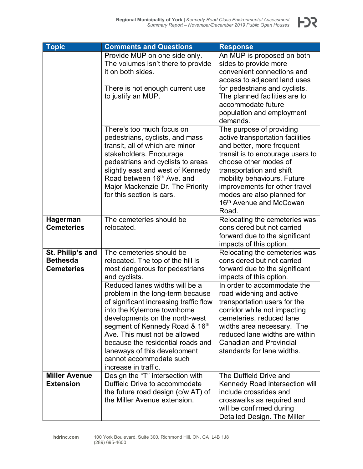

| <b>Topic</b>                         | <b>Comments and Questions</b>          | <b>Response</b>                                             |
|--------------------------------------|----------------------------------------|-------------------------------------------------------------|
|                                      | Provide MUP on one side only.          | An MUP is proposed on both                                  |
|                                      | The volumes isn't there to provide     | sides to provide more                                       |
|                                      | it on both sides.                      | convenient connections and                                  |
|                                      |                                        | access to adjacent land uses                                |
|                                      | There is not enough current use        | for pedestrians and cyclists.                               |
|                                      | to justify an MUP.                     | The planned facilities are to                               |
|                                      |                                        | accommodate future                                          |
|                                      |                                        | population and employment                                   |
|                                      |                                        | demands.                                                    |
|                                      | There's too much focus on              | The purpose of providing                                    |
|                                      | pedestrians, cyclists, and mass        | active transportation facilities                            |
|                                      | transit, all of which are minor        | and better, more frequent                                   |
|                                      | stakeholders. Encourage                | transit is to encourage users to                            |
|                                      | pedestrians and cyclists to areas      | choose other modes of                                       |
|                                      | slightly east and west of Kennedy      | transportation and shift                                    |
|                                      | Road between 16 <sup>th</sup> Ave. and | mobility behaviours. Future                                 |
|                                      | Major Mackenzie Dr. The Priority       | improvements for other travel                               |
|                                      | for this section is cars.              | modes are also planned for                                  |
|                                      |                                        | 16 <sup>th</sup> Avenue and McCowan                         |
|                                      | The cemeteries should be               | Road.                                                       |
| <b>Hagerman</b><br><b>Cemeteries</b> | relocated.                             | Relocating the cemeteries was<br>considered but not carried |
|                                      |                                        | forward due to the significant                              |
|                                      |                                        | impacts of this option.                                     |
| St. Philip's and                     | The cemeteries should be               | Relocating the cemeteries was                               |
| <b>Bethesda</b>                      | relocated. The top of the hill is      | considered but not carried                                  |
| <b>Cemeteries</b>                    | most dangerous for pedestrians         | forward due to the significant                              |
|                                      | and cyclists.                          | impacts of this option.                                     |
|                                      | Reduced lanes widths will be a         | In order to accommodate the                                 |
|                                      | problem in the long-term because       | road widening and active                                    |
|                                      | of significant increasing traffic flow | transportation users for the                                |
|                                      | into the Kylemore townhome             | corridor while not impacting                                |
|                                      | developments on the north-west         | cemeteries, reduced lane                                    |
|                                      | segment of Kennedy Road & 16th         | widths area necessary. The                                  |
|                                      | Ave. This must not be allowed          | reduced lane widths are within                              |
|                                      | because the residential roads and      | <b>Canadian and Provincial</b>                              |
|                                      | laneways of this development           | standards for lane widths.                                  |
|                                      | cannot accommodate such                |                                                             |
|                                      | increase in traffic.                   |                                                             |
| <b>Miller Avenue</b>                 | Design the "T" intersection with       | The Duffield Drive and                                      |
| <b>Extension</b>                     | Duffield Drive to accommodate          | Kennedy Road intersection will                              |
|                                      | the future road design (c/w AT) of     | include crossrides and                                      |
|                                      | the Miller Avenue extension.           | crosswalks as required and                                  |
|                                      |                                        | will be confirmed during                                    |
|                                      |                                        | Detailed Design. The Miller                                 |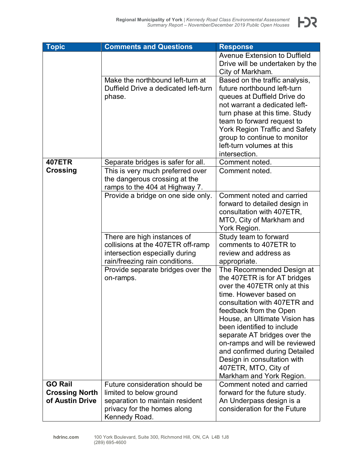| <b>Topic</b>          | <b>Comments and Questions</b>        | <b>Response</b>                                           |
|-----------------------|--------------------------------------|-----------------------------------------------------------|
|                       |                                      | Avenue Extension to Duffield                              |
|                       |                                      | Drive will be undertaken by the                           |
|                       |                                      | City of Markham.                                          |
|                       | Make the northbound left-turn at     | Based on the traffic analysis,                            |
|                       | Duffield Drive a dedicated left-turn | future northbound left-turn                               |
|                       | phase.                               | queues at Duffield Drive do                               |
|                       |                                      | not warrant a dedicated left-                             |
|                       |                                      | turn phase at this time. Study                            |
|                       |                                      | team to forward request to                                |
|                       |                                      | York Region Traffic and Safety                            |
|                       |                                      | group to continue to monitor<br>left-turn volumes at this |
|                       |                                      | intersection.                                             |
| <b>407ETR</b>         | Separate bridges is safer for all.   | Comment noted.                                            |
| <b>Crossing</b>       | This is very much preferred over     | Comment noted.                                            |
|                       | the dangerous crossing at the        |                                                           |
|                       | ramps to the 404 at Highway 7.       |                                                           |
|                       | Provide a bridge on one side only.   | Comment noted and carried                                 |
|                       |                                      | forward to detailed design in                             |
|                       |                                      | consultation with 407ETR,                                 |
|                       |                                      | MTO, City of Markham and                                  |
|                       |                                      | York Region.                                              |
|                       | There are high instances of          | Study team to forward                                     |
|                       | collisions at the 407ETR off-ramp    | comments to 407ETR to                                     |
|                       | intersection especially during       | review and address as                                     |
|                       | rain/freezing rain conditions.       | appropriate.                                              |
|                       | Provide separate bridges over the    | The Recommended Design at                                 |
|                       | on-ramps.                            | the 407ETR is for AT bridges                              |
|                       |                                      | over the 407ETR only at this                              |
|                       |                                      | time. However based on                                    |
|                       |                                      | consultation with 407ETR and<br>feedback from the Open    |
|                       |                                      | House, an Ultimate Vision has                             |
|                       |                                      | been identified to include                                |
|                       |                                      | separate AT bridges over the                              |
|                       |                                      | on-ramps and will be reviewed                             |
|                       |                                      | and confirmed during Detailed                             |
|                       |                                      | Design in consultation with                               |
|                       |                                      | 407ETR, MTO, City of                                      |
|                       |                                      | Markham and York Region.                                  |
| <b>GO Rail</b>        | Future consideration should be       | Comment noted and carried                                 |
| <b>Crossing North</b> | limited to below ground              | forward for the future study.                             |
| of Austin Drive       | separation to maintain resident      | An Underpass design is a                                  |
|                       | privacy for the homes along          | consideration for the Future                              |
|                       | Kennedy Road.                        |                                                           |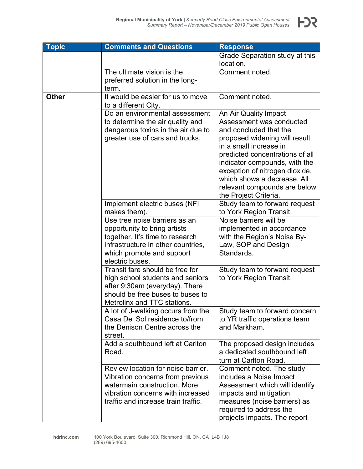

| <b>Topic</b> | <b>Comments and Questions</b>                                                                                                                                                      | <b>Response</b>                                                                                                                                                                                            |
|--------------|------------------------------------------------------------------------------------------------------------------------------------------------------------------------------------|------------------------------------------------------------------------------------------------------------------------------------------------------------------------------------------------------------|
|              |                                                                                                                                                                                    | Grade Separation study at this                                                                                                                                                                             |
|              |                                                                                                                                                                                    | location.                                                                                                                                                                                                  |
|              | The ultimate vision is the                                                                                                                                                         | Comment noted.                                                                                                                                                                                             |
|              | preferred solution in the long-                                                                                                                                                    |                                                                                                                                                                                                            |
|              | term.                                                                                                                                                                              |                                                                                                                                                                                                            |
| <b>Other</b> | It would be easier for us to move                                                                                                                                                  | Comment noted.                                                                                                                                                                                             |
|              | to a different City.                                                                                                                                                               |                                                                                                                                                                                                            |
|              | Do an environmental assessment                                                                                                                                                     | An Air Quality Impact                                                                                                                                                                                      |
|              | to determine the air quality and                                                                                                                                                   | Assessment was conducted                                                                                                                                                                                   |
|              | dangerous toxins in the air due to                                                                                                                                                 | and concluded that the                                                                                                                                                                                     |
|              | greater use of cars and trucks.                                                                                                                                                    | proposed widening will result<br>in a small increase in                                                                                                                                                    |
|              |                                                                                                                                                                                    | predicted concentrations of all<br>indicator compounds, with the<br>exception of nitrogen dioxide,<br>which shows a decrease. All<br>relevant compounds are below                                          |
|              |                                                                                                                                                                                    | the Project Criteria.<br>Study team to forward request                                                                                                                                                     |
|              | Implement electric buses (NFI)<br>makes them).                                                                                                                                     | to York Region Transit.                                                                                                                                                                                    |
|              | Use tree noise barriers as an                                                                                                                                                      | Noise barriers will be                                                                                                                                                                                     |
|              | opportunity to bring artists                                                                                                                                                       | implemented in accordance                                                                                                                                                                                  |
|              | together. It's time to research                                                                                                                                                    | with the Region's Noise By-                                                                                                                                                                                |
|              | infrastructure in other countries,                                                                                                                                                 | Law, SOP and Design                                                                                                                                                                                        |
|              | which promote and support                                                                                                                                                          | Standards.                                                                                                                                                                                                 |
|              | electric buses.                                                                                                                                                                    |                                                                                                                                                                                                            |
|              | Transit fare should be free for<br>high school students and seniors<br>after 9:30am (everyday). There                                                                              | Study team to forward request<br>to York Region Transit.                                                                                                                                                   |
|              | should be free buses to buses to                                                                                                                                                   |                                                                                                                                                                                                            |
|              | Metrolinx and TTC stations.                                                                                                                                                        |                                                                                                                                                                                                            |
|              | A lot of J-walking occurs from the<br>Casa Del Sol residence to/from<br>the Denison Centre across the<br>street.                                                                   | Study team to forward concern<br>to YR traffic operations team<br>and Markham.                                                                                                                             |
|              | Add a southbound left at Carlton<br>Road.                                                                                                                                          | The proposed design includes<br>a dedicated southbound left<br>turn at Carlton Road.                                                                                                                       |
|              | Review location for noise barrier.<br>Vibration concerns from previous<br>watermain construction. More<br>vibration concerns with increased<br>traffic and increase train traffic. | Comment noted. The study<br>includes a Noise Impact<br>Assessment which will identify<br>impacts and mitigation<br>measures (noise barriers) as<br>required to address the<br>projects impacts. The report |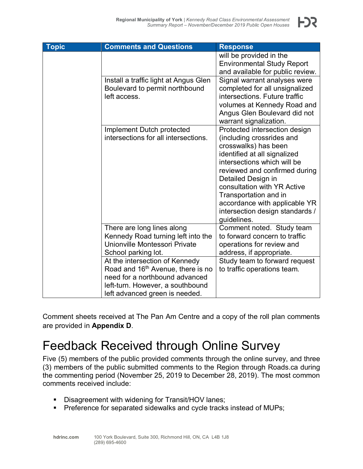| <b>Topic</b> | <b>Comments and Questions</b>                                                                                                                                                           | <b>Response</b>                                                                                                                                                                                                                                                                                                                                     |
|--------------|-----------------------------------------------------------------------------------------------------------------------------------------------------------------------------------------|-----------------------------------------------------------------------------------------------------------------------------------------------------------------------------------------------------------------------------------------------------------------------------------------------------------------------------------------------------|
|              |                                                                                                                                                                                         | will be provided in the<br><b>Environmental Study Report</b><br>and available for public review.                                                                                                                                                                                                                                                    |
|              | Install a traffic light at Angus Glen<br>Boulevard to permit northbound<br>left access.                                                                                                 | Signal warrant analyses were<br>completed for all unsignalized<br>intersections. Future traffic<br>volumes at Kennedy Road and<br>Angus Glen Boulevard did not<br>warrant signalization.                                                                                                                                                            |
|              | Implement Dutch protected<br>intersections for all intersections.                                                                                                                       | Protected intersection design<br>(including crossrides and<br>crosswalks) has been<br>identified at all signalized<br>intersections which will be<br>reviewed and confirmed during<br>Detailed Design in<br>consultation with YR Active<br>Transportation and in<br>accordance with applicable YR<br>intersection design standards /<br>guidelines. |
|              | There are long lines along<br>Kennedy Road turning left into the<br>Unionville Montessori Private<br>School parking lot.                                                                | Comment noted. Study team<br>to forward concern to traffic<br>operations for review and<br>address, if appropriate.                                                                                                                                                                                                                                 |
|              | At the intersection of Kennedy<br>Road and 16 <sup>th</sup> Avenue, there is no<br>need for a northbound advanced<br>left-turn. However, a southbound<br>left advanced green is needed. | Study team to forward request<br>to traffic operations team.                                                                                                                                                                                                                                                                                        |

Comment sheets received at The Pan Am Centre and a copy of the roll plan comments are provided in **Appendix D**.

#### Feedback Received through Online Survey

Five (5) members of the public provided comments through the online survey, and three (3) members of the public submitted comments to the Region through Roads.ca during the commenting period (November 25, 2019 to December 28, 2019). The most common comments received include:

- **Disagreement with widening for Transit/HOV lanes;**
- **Preference for separated sidewalks and cycle tracks instead of MUPs;**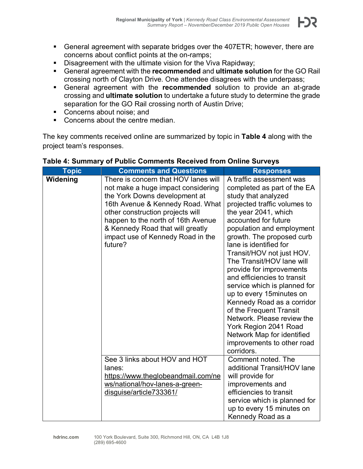- 12

- General agreement with separate bridges over the 407ETR; however, there are concerns about conflict points at the on-ramps;
- **Disagreement with the ultimate vision for the Viva Rapidway;**
- General agreement with the **recommended** and **ultimate solution** for the GO Rail crossing north of Clayton Drive. One attendee disagrees with the underpass;
- General agreement with the **recommended** solution to provide an at-grade crossing and **ultimate solution** to undertake a future study to determine the grade separation for the GO Rail crossing north of Austin Drive;
- Concerns about noise: and
- Concerns about the centre median.

The key comments received online are summarized by topic in **[Table 4](#page-19-0)** along with the project team's responses.

| <b>Topic</b> | <b>Comments and Questions</b>                                                                                                                                                                                                                                                                                 | <b>Responses</b>                                                                                                                                                                                                                                                                                                                                                                                                                                                                                                                                                                                                               |
|--------------|---------------------------------------------------------------------------------------------------------------------------------------------------------------------------------------------------------------------------------------------------------------------------------------------------------------|--------------------------------------------------------------------------------------------------------------------------------------------------------------------------------------------------------------------------------------------------------------------------------------------------------------------------------------------------------------------------------------------------------------------------------------------------------------------------------------------------------------------------------------------------------------------------------------------------------------------------------|
| Widening     | There is concern that HOV lanes will<br>not make a huge impact considering<br>the York Downs development at<br>16th Avenue & Kennedy Road. What<br>other construction projects will<br>happen to the north of 16th Avenue<br>& Kennedy Road that will greatly<br>impact use of Kennedy Road in the<br>future? | A traffic assessment was<br>completed as part of the EA<br>study that analyzed<br>projected traffic volumes to<br>the year 2041, which<br>accounted for future<br>population and employment<br>growth. The proposed curb<br>lane is identified for<br>Transit/HOV not just HOV.<br>The Transit/HOV lane will<br>provide for improvements<br>and efficiencies to transit<br>service which is planned for<br>up to every 15 minutes on<br>Kennedy Road as a corridor<br>of the Frequent Transit<br>Network. Please review the<br>York Region 2041 Road<br>Network Map for identified<br>improvements to other road<br>corridors. |
|              | See 3 links about HOV and HOT<br>lanes:<br>https://www.theglobeandmail.com/ne<br>ws/national/hov-lanes-a-green-<br>disguise/article733361/                                                                                                                                                                    | Comment noted. The<br>additional Transit/HOV lane<br>will provide for<br>improvements and<br>efficiencies to transit<br>service which is planned for<br>up to every 15 minutes on<br>Kennedy Road as a                                                                                                                                                                                                                                                                                                                                                                                                                         |

#### <span id="page-19-0"></span>**Table 4: Summary of Public Comments Received from Online Surveys**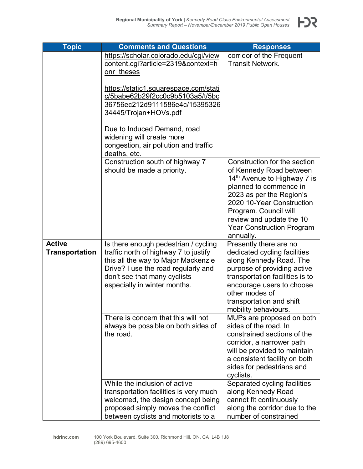| <b>Topic</b>          | <b>Comments and Questions</b>                | <b>Responses</b>                                 |
|-----------------------|----------------------------------------------|--------------------------------------------------|
|                       | https://scholar.colorado.edu/cgi/view        | corridor of the Frequent                         |
|                       | content.cgi?article=2319&context=h           | <b>Transit Network.</b>                          |
|                       | onr theses                                   |                                                  |
|                       |                                              |                                                  |
|                       | <u>https://static1.squarespace.com/stati</u> |                                                  |
|                       | c/5babe62b29f2cc0c9b5103a5/t/5bc             |                                                  |
|                       | 36756ec212d9111586e4c/15395326               |                                                  |
|                       | <u>34445/Trojan+HOVs.pdf</u>                 |                                                  |
|                       | Due to Induced Demand, road                  |                                                  |
|                       | widening will create more                    |                                                  |
|                       | congestion, air pollution and traffic        |                                                  |
|                       | deaths, etc.                                 |                                                  |
|                       | Construction south of highway 7              | Construction for the section                     |
|                       | should be made a priority.                   | of Kennedy Road between                          |
|                       |                                              | 14 <sup>th</sup> Avenue to Highway 7 is          |
|                       |                                              | planned to commence in                           |
|                       |                                              | 2023 as per the Region's                         |
|                       |                                              | 2020 10-Year Construction                        |
|                       |                                              | Program. Council will                            |
|                       |                                              | review and update the 10                         |
|                       |                                              | <b>Year Construction Program</b>                 |
|                       |                                              | annually.                                        |
| <b>Active</b>         | Is there enough pedestrian / cycling         | Presently there are no                           |
| <b>Transportation</b> | traffic north of highway 7 to justify        | dedicated cycling facilities                     |
|                       | this all the way to Major Mackenzie          | along Kennedy Road. The                          |
|                       | Drive? I use the road regularly and          | purpose of providing active                      |
|                       | don't see that many cyclists                 | transportation facilities is to                  |
|                       | especially in winter months.                 | encourage users to choose<br>other modes of      |
|                       |                                              |                                                  |
|                       |                                              | transportation and shift<br>mobility behaviours. |
|                       | There is concern that this will not          | MUPs are proposed on both                        |
|                       | always be possible on both sides of          | sides of the road. In                            |
|                       | the road.                                    | constrained sections of the                      |
|                       |                                              | corridor, a narrower path                        |
|                       |                                              | will be provided to maintain                     |
|                       |                                              | a consistent facility on both                    |
|                       |                                              | sides for pedestrians and                        |
|                       |                                              | cyclists.                                        |
|                       | While the inclusion of active                | Separated cycling facilities                     |
|                       | transportation facilities is very much       | along Kennedy Road                               |
|                       | welcomed, the design concept being           | cannot fit continuously                          |
|                       | proposed simply moves the conflict           | along the corridor due to the                    |
|                       | between cyclists and motorists to a          | number of constrained                            |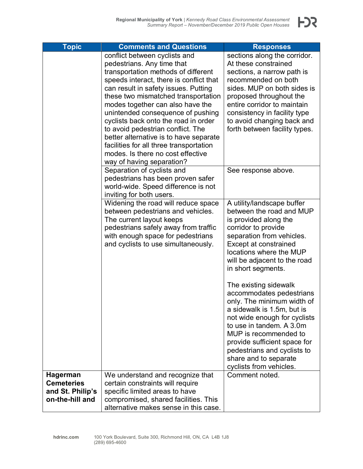F)?

| <b>Topic</b>                                                                | <b>Comments and Questions</b>                                                                                                                                                                                                                                                                                                                                                                                                                                                                                                             | <b>Responses</b>                                                                                                                                                                                                                                                                                                      |
|-----------------------------------------------------------------------------|-------------------------------------------------------------------------------------------------------------------------------------------------------------------------------------------------------------------------------------------------------------------------------------------------------------------------------------------------------------------------------------------------------------------------------------------------------------------------------------------------------------------------------------------|-----------------------------------------------------------------------------------------------------------------------------------------------------------------------------------------------------------------------------------------------------------------------------------------------------------------------|
|                                                                             | conflict between cyclists and<br>pedestrians. Any time that<br>transportation methods of different<br>speeds interact, there is conflict that<br>can result in safety issues. Putting<br>these two mismatched transportation<br>modes together can also have the<br>unintended consequence of pushing<br>cyclists back onto the road in order<br>to avoid pedestrian conflict. The<br>better alternative is to have separate<br>facilities for all three transportation<br>modes. Is there no cost effective<br>way of having separation? | sections along the corridor.<br>At these constrained<br>sections, a narrow path is<br>recommended on both<br>sides. MUP on both sides is<br>proposed throughout the<br>entire corridor to maintain<br>consistency in facility type<br>to avoid changing back and<br>forth between facility types.                     |
|                                                                             | Separation of cyclists and<br>pedestrians has been proven safer<br>world-wide. Speed difference is not<br>inviting for both users.                                                                                                                                                                                                                                                                                                                                                                                                        | See response above.                                                                                                                                                                                                                                                                                                   |
|                                                                             | Widening the road will reduce space<br>between pedestrians and vehicles.<br>The current layout keeps<br>pedestrians safely away from traffic<br>with enough space for pedestrians<br>and cyclists to use simultaneously.                                                                                                                                                                                                                                                                                                                  | A utility/landscape buffer<br>between the road and MUP<br>is provided along the<br>corridor to provide<br>separation from vehicles.<br><b>Except at constrained</b><br>locations where the MUP<br>will be adjacent to the road<br>in short segments.                                                                  |
|                                                                             |                                                                                                                                                                                                                                                                                                                                                                                                                                                                                                                                           | The existing sidewalk<br>accommodates pedestrians<br>only. The minimum width of<br>a sidewalk is 1.5m, but is<br>not wide enough for cyclists<br>to use in tandem. A 3.0m<br>MUP is recommended to<br>provide sufficient space for<br>pedestrians and cyclists to<br>share and to separate<br>cyclists from vehicles. |
| <b>Hagerman</b><br><b>Cemeteries</b><br>and St. Philip's<br>on-the-hill and | We understand and recognize that<br>certain constraints will require<br>specific limited areas to have<br>compromised, shared facilities. This<br>alternative makes sense in this case.                                                                                                                                                                                                                                                                                                                                                   | Comment noted.                                                                                                                                                                                                                                                                                                        |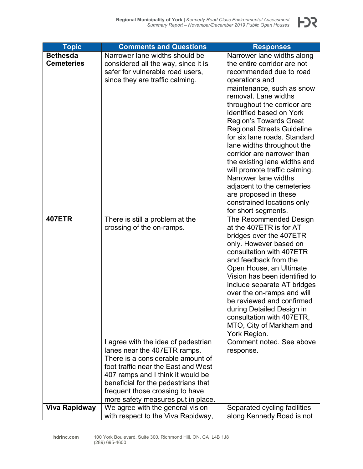| <b>Topic</b>      | <b>Comments and Questions</b>       | <b>Responses</b>                                  |
|-------------------|-------------------------------------|---------------------------------------------------|
| <b>Bethesda</b>   | Narrower lane widths should be      | Narrower lane widths along                        |
| <b>Cemeteries</b> | considered all the way, since it is | the entire corridor are not                       |
|                   | safer for vulnerable road users,    | recommended due to road                           |
|                   | since they are traffic calming.     | operations and                                    |
|                   |                                     | maintenance, such as snow                         |
|                   |                                     | removal. Lane widths                              |
|                   |                                     | throughout the corridor are                       |
|                   |                                     | identified based on York                          |
|                   |                                     | <b>Region's Towards Great</b>                     |
|                   |                                     | <b>Regional Streets Guideline</b>                 |
|                   |                                     | for six lane roads. Standard                      |
|                   |                                     | lane widths throughout the                        |
|                   |                                     | corridor are narrower than                        |
|                   |                                     | the existing lane widths and                      |
|                   |                                     | will promote traffic calming.                     |
|                   |                                     | Narrower lane widths                              |
|                   |                                     | adjacent to the cemeteries                        |
|                   |                                     | are proposed in these                             |
|                   |                                     | constrained locations only                        |
| <b>407ETR</b>     |                                     | for short segments.                               |
|                   | There is still a problem at the     | The Recommended Design<br>at the 407ETR is for AT |
|                   | crossing of the on-ramps.           | bridges over the 407ETR                           |
|                   |                                     | only. However based on                            |
|                   |                                     | consultation with 407ETR                          |
|                   |                                     | and feedback from the                             |
|                   |                                     | Open House, an Ultimate                           |
|                   |                                     | Vision has been identified to                     |
|                   |                                     | include separate AT bridges                       |
|                   |                                     | over the on-ramps and will                        |
|                   |                                     | be reviewed and confirmed                         |
|                   |                                     | during Detailed Design in                         |
|                   |                                     | consultation with 407ETR,                         |
|                   |                                     | MTO, City of Markham and                          |
|                   |                                     | York Region.                                      |
|                   | I agree with the idea of pedestrian | Comment noted. See above                          |
|                   | lanes near the 407ETR ramps.        | response.                                         |
|                   | There is a considerable amount of   |                                                   |
|                   | foot traffic near the East and West |                                                   |
|                   | 407 ramps and I think it would be   |                                                   |
|                   | beneficial for the pedestrians that |                                                   |
|                   | frequent those crossing to have     |                                                   |
|                   | more safety measures put in place.  |                                                   |
| Viva Rapidway     | We agree with the general vision    | Separated cycling facilities                      |
|                   | with respect to the Viva Rapidway,  | along Kennedy Road is not                         |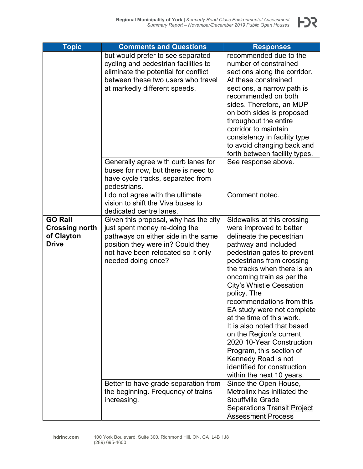

| <b>Topic</b>               | <b>Comments and Questions</b>                                           | <b>Responses</b>                                     |
|----------------------------|-------------------------------------------------------------------------|------------------------------------------------------|
|                            | but would prefer to see separated                                       | recommended due to the                               |
|                            | cycling and pedestrian facilities to                                    | number of constrained                                |
|                            | eliminate the potential for conflict                                    | sections along the corridor.                         |
|                            | between these two users who travel                                      | At these constrained                                 |
|                            |                                                                         |                                                      |
|                            | at markedly different speeds.                                           | sections, a narrow path is<br>recommended on both    |
|                            |                                                                         |                                                      |
|                            |                                                                         | sides. Therefore, an MUP                             |
|                            |                                                                         | on both sides is proposed<br>throughout the entire   |
|                            |                                                                         | corridor to maintain                                 |
|                            |                                                                         |                                                      |
|                            |                                                                         | consistency in facility type                         |
|                            |                                                                         | to avoid changing back and                           |
|                            |                                                                         | forth between facility types.                        |
|                            | Generally agree with curb lanes for                                     | See response above.                                  |
|                            | buses for now, but there is need to                                     |                                                      |
|                            | have cycle tracks, separated from                                       |                                                      |
|                            | pedestrians.                                                            | Comment noted.                                       |
|                            | I do not agree with the ultimate<br>vision to shift the Viva buses to   |                                                      |
|                            |                                                                         |                                                      |
| <b>GO Rail</b>             | dedicated centre lanes.                                                 |                                                      |
|                            | Given this proposal, why has the city                                   | Sidewalks at this crossing                           |
| <b>Crossing north</b>      | just spent money re-doing the                                           | were improved to better                              |
| of Clayton<br><b>Drive</b> | pathways on either side in the same                                     | delineate the pedestrian<br>pathway and included     |
|                            | position they were in? Could they<br>not have been relocated so it only | pedestrian gates to prevent                          |
|                            | needed doing once?                                                      | pedestrians from crossing                            |
|                            |                                                                         | the tracks when there is an                          |
|                            |                                                                         |                                                      |
|                            |                                                                         | oncoming train as per the                            |
|                            |                                                                         | City's Whistle Cessation<br>policy. The              |
|                            |                                                                         | recommendations from this                            |
|                            |                                                                         | EA study were not complete                           |
|                            |                                                                         | at the time of this work.                            |
|                            |                                                                         | It is also noted that based                          |
|                            |                                                                         |                                                      |
|                            |                                                                         | on the Region's current<br>2020 10-Year Construction |
|                            |                                                                         |                                                      |
|                            |                                                                         | Program, this section of<br>Kennedy Road is not      |
|                            |                                                                         | identified for construction                          |
|                            |                                                                         | within the next 10 years.                            |
|                            | Better to have grade separation from                                    | Since the Open House,                                |
|                            | the beginning. Frequency of trains                                      | Metrolinx has initiated the                          |
|                            | increasing.                                                             | <b>Stouffville Grade</b>                             |
|                            |                                                                         | <b>Separations Transit Project</b>                   |
|                            |                                                                         | <b>Assessment Process</b>                            |
|                            |                                                                         |                                                      |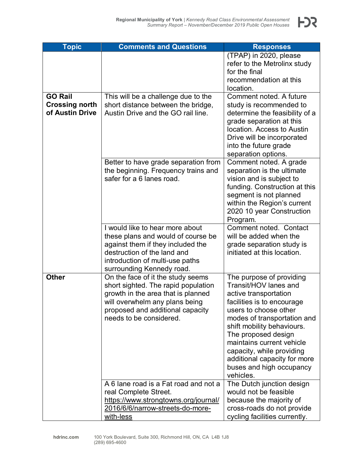| <b>Topic</b>          | <b>Comments and Questions</b>                                            | <b>Responses</b>                                         |
|-----------------------|--------------------------------------------------------------------------|----------------------------------------------------------|
|                       |                                                                          | (TPAP) in 2020, please                                   |
|                       |                                                                          | refer to the Metrolinx study<br>for the final            |
|                       |                                                                          | recommendation at this                                   |
|                       |                                                                          | location.                                                |
| <b>GO Rail</b>        | This will be a challenge due to the                                      | Comment noted. A future                                  |
| <b>Crossing north</b> | short distance between the bridge,                                       | study is recommended to                                  |
| of Austin Drive       | Austin Drive and the GO rail line.                                       | determine the feasibility of a                           |
|                       |                                                                          | grade separation at this<br>location. Access to Austin   |
|                       |                                                                          | Drive will be incorporated                               |
|                       |                                                                          | into the future grade                                    |
|                       |                                                                          | separation options.                                      |
|                       | Better to have grade separation from                                     | Comment noted. A grade                                   |
|                       | the beginning. Frequency trains and                                      | separation is the ultimate                               |
|                       | safer for a 6 lanes road.                                                | vision and is subject to                                 |
|                       |                                                                          | funding. Construction at this                            |
|                       |                                                                          | segment is not planned                                   |
|                       |                                                                          | within the Region's current<br>2020 10 year Construction |
|                       |                                                                          | Program.                                                 |
|                       | I would like to hear more about                                          | Comment noted. Contact                                   |
|                       | these plans and would of course be                                       | will be added when the                                   |
|                       | against them if they included the                                        | grade separation study is                                |
|                       | destruction of the land and                                              | initiated at this location.                              |
|                       | introduction of multi-use paths                                          |                                                          |
| <b>Other</b>          | surrounding Kennedy road.                                                |                                                          |
|                       | On the face of it the study seems<br>short sighted. The rapid population | The purpose of providing<br>Transit/HOV lanes and        |
|                       | growth in the area that is planned                                       | active transportation                                    |
|                       | will overwhelm any plans being                                           | facilities is to encourage                               |
|                       | proposed and additional capacity                                         | users to choose other                                    |
|                       | needs to be considered.                                                  | modes of transportation and                              |
|                       |                                                                          | shift mobility behaviours.                               |
|                       |                                                                          | The proposed design                                      |
|                       |                                                                          | maintains current vehicle                                |
|                       |                                                                          | capacity, while providing                                |
|                       |                                                                          | additional capacity for more<br>buses and high occupancy |
|                       |                                                                          | vehicles.                                                |
|                       | A 6 lane road is a Fat road and not a                                    | The Dutch junction design                                |
|                       | real Complete Street.                                                    | would not be feasible                                    |
|                       | https://www.strongtowns.org/journal/                                     | because the majority of                                  |
|                       | 2016/6/6/narrow-streets-do-more-                                         | cross-roads do not provide                               |
|                       | with-less                                                                | cycling facilities currently.                            |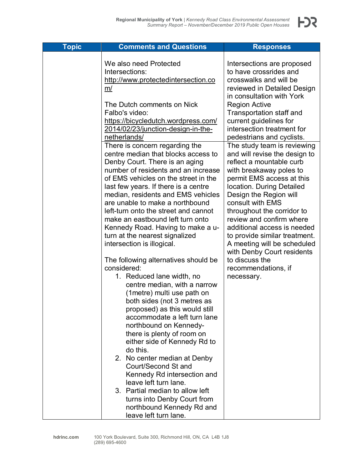| <b>Topic</b> | <b>Comments and Questions</b>                                                                                                                                                                                                                                                                                                                                                                                                                                                                                                                                                                                                                                                                                                                                                                                                                                                                                                                                                                                                                                                          | <b>Responses</b>                                                                                                                                                                                                                                                                                                                                                                                                                                                          |
|--------------|----------------------------------------------------------------------------------------------------------------------------------------------------------------------------------------------------------------------------------------------------------------------------------------------------------------------------------------------------------------------------------------------------------------------------------------------------------------------------------------------------------------------------------------------------------------------------------------------------------------------------------------------------------------------------------------------------------------------------------------------------------------------------------------------------------------------------------------------------------------------------------------------------------------------------------------------------------------------------------------------------------------------------------------------------------------------------------------|---------------------------------------------------------------------------------------------------------------------------------------------------------------------------------------------------------------------------------------------------------------------------------------------------------------------------------------------------------------------------------------------------------------------------------------------------------------------------|
|              | We also need Protected<br>Intersections:<br>http://www.protectedintersection.co<br>m/<br>The Dutch comments on Nick<br>Falbo's video:<br>https://bicycledutch.wordpress.com/<br>2014/02/23/junction-design-in-the-<br>netherlands/                                                                                                                                                                                                                                                                                                                                                                                                                                                                                                                                                                                                                                                                                                                                                                                                                                                     | Intersections are proposed<br>to have crossrides and<br>crosswalks and will be<br>reviewed in Detailed Design<br>in consultation with York<br><b>Region Active</b><br>Transportation staff and<br>current guidelines for<br>intersection treatment for<br>pedestrians and cyclists.                                                                                                                                                                                       |
|              | There is concern regarding the<br>centre median that blocks access to<br>Denby Court. There is an aging<br>number of residents and an increase<br>of EMS vehicles on the street in the<br>last few years. If there is a centre<br>median, residents and EMS vehicles<br>are unable to make a northbound<br>left-turn onto the street and cannot<br>make an eastbound left turn onto<br>Kennedy Road. Having to make a u-<br>turn at the nearest signalized<br>intersection is illogical.<br>The following alternatives should be<br>considered:<br>1. Reduced lane width, no<br>centre median, with a narrow<br>(1 metre) multi use path on<br>both sides (not 3 metres as<br>proposed) as this would still<br>accommodate a left turn lane<br>northbound on Kennedy-<br>there is plenty of room on<br>either side of Kennedy Rd to<br>do this.<br>2. No center median at Denby<br>Court/Second St and<br>Kennedy Rd intersection and<br>leave left turn lane.<br>3. Partial median to allow left<br>turns into Denby Court from<br>northbound Kennedy Rd and<br>leave left turn lane. | The study team is reviewing<br>and will revise the design to<br>reflect a mountable curb<br>with breakaway poles to<br>permit EMS access at this<br>location. During Detailed<br>Design the Region will<br>consult with EMS<br>throughout the corridor to<br>review and confirm where<br>additional access is needed<br>to provide similar treatment.<br>A meeting will be scheduled<br>with Denby Court residents<br>to discuss the<br>recommendations, if<br>necessary. |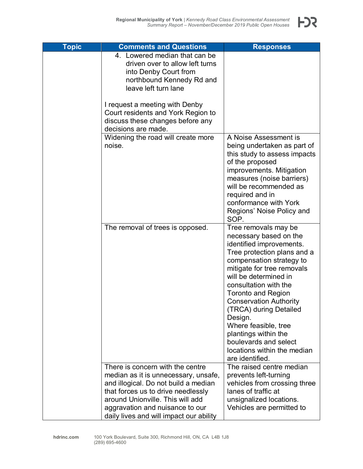

| <b>Topic</b> | <b>Comments and Questions</b>                                                                                                                                                                                                                                            | <b>Responses</b>                                                                                                                                                                                                                                                                                                                                                                                                                                    |
|--------------|--------------------------------------------------------------------------------------------------------------------------------------------------------------------------------------------------------------------------------------------------------------------------|-----------------------------------------------------------------------------------------------------------------------------------------------------------------------------------------------------------------------------------------------------------------------------------------------------------------------------------------------------------------------------------------------------------------------------------------------------|
|              | 4. Lowered median that can be<br>driven over to allow left turns<br>into Denby Court from<br>northbound Kennedy Rd and<br>leave left turn lane                                                                                                                           |                                                                                                                                                                                                                                                                                                                                                                                                                                                     |
|              | I request a meeting with Denby<br>Court residents and York Region to<br>discuss these changes before any<br>decisions are made.                                                                                                                                          |                                                                                                                                                                                                                                                                                                                                                                                                                                                     |
|              | Widening the road will create more<br>noise.                                                                                                                                                                                                                             | A Noise Assessment is<br>being undertaken as part of<br>this study to assess impacts<br>of the proposed<br>improvements. Mitigation<br>measures (noise barriers)<br>will be recommended as<br>required and in<br>conformance with York<br>Regions' Noise Policy and<br>SOP.                                                                                                                                                                         |
|              | The removal of trees is opposed.                                                                                                                                                                                                                                         | Tree removals may be<br>necessary based on the<br>identified improvements.<br>Tree protection plans and a<br>compensation strategy to<br>mitigate for tree removals<br>will be determined in<br>consultation with the<br><b>Toronto and Region</b><br><b>Conservation Authority</b><br>(TRCA) during Detailed<br>Design.<br>Where feasible, tree<br>plantings within the<br>boulevards and select<br>locations within the median<br>are identified. |
|              | There is concern with the centre<br>median as it is unnecessary, unsafe,<br>and illogical. Do not build a median<br>that forces us to drive needlessly<br>around Unionville. This will add<br>aggravation and nuisance to our<br>daily lives and will impact our ability | The raised centre median<br>prevents left-turning<br>vehicles from crossing three<br>lanes of traffic at<br>unsignalized locations.<br>Vehicles are permitted to                                                                                                                                                                                                                                                                                    |